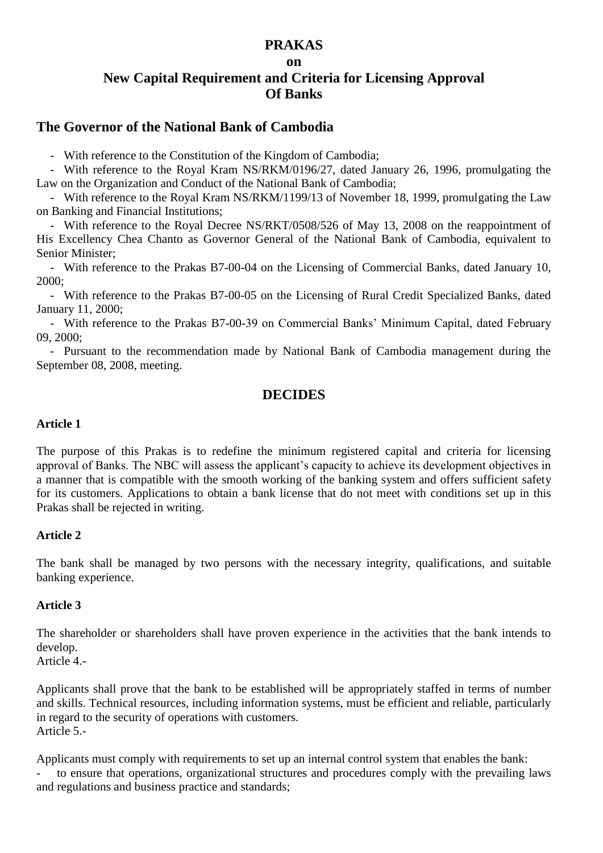### **PRAKAS**

#### **on**

# **New Capital Requirement and Criteria for Licensing Approval Of Banks**

# **The Governor of the National Bank of Cambodia**

- With reference to the Constitution of the Kingdom of Cambodia;

- With reference to the Royal Kram NS/RKM/0196/27, dated January 26, 1996, promulgating the Law on the Organization and Conduct of the National Bank of Cambodia;

- With reference to the Royal Kram NS/RKM/1199/13 of November 18, 1999, promulgating the Law on Banking and Financial Institutions;

- With reference to the Royal Decree NS/RKT/0508/526 of May 13, 2008 on the reappointment of His Excellency Chea Chanto as Governor General of the National Bank of Cambodia, equivalent to Senior Minister;

- With reference to the Prakas B7-00-04 on the Licensing of Commercial Banks, dated January 10, 2000;

- With reference to the Prakas B7-00-05 on the Licensing of Rural Credit Specialized Banks, dated January 11, 2000;

- With reference to the Prakas B7-00-39 on Commercial Banks' Minimum Capital, dated February 09, 2000;

- Pursuant to the recommendation made by National Bank of Cambodia management during the September 08, 2008, meeting.

# **DECIDES**

#### **Article 1**

The purpose of this Prakas is to redefine the minimum registered capital and criteria for licensing approval of Banks. The NBC will assess the applicant's capacity to achieve its development objectives in a manner that is compatible with the smooth working of the banking system and offers sufficient safety for its customers. Applications to obtain a bank license that do not meet with conditions set up in this Prakas shall be rejected in writing.

#### **Article 2**

The bank shall be managed by two persons with the necessary integrity, qualifications, and suitable banking experience.

#### **Article 3**

The shareholder or shareholders shall have proven experience in the activities that the bank intends to develop.

Article 4.-

Applicants shall prove that the bank to be established will be appropriately staffed in terms of number and skills. Technical resources, including information systems, must be efficient and reliable, particularly in regard to the security of operations with customers. Article 5.-

Applicants must comply with requirements to set up an internal control system that enables the bank:

to ensure that operations, organizational structures and procedures comply with the prevailing laws and regulations and business practice and standards;